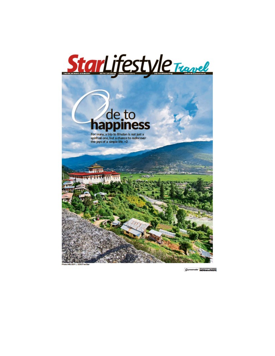



D preservation' include a studied and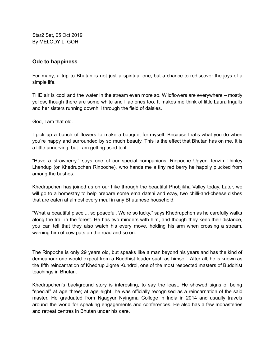Star2 Sat, 05 Oct 2019 By MELODY L. GOH

## **Ode to happiness**

For many, a trip to Bhutan is not just a spiritual one, but a chance to rediscover the joys of a simple life.

THE air is cool and the water in the stream even more so. Wildflowers are everywhere – mostly yellow, though there are some white and lilac ones too. It makes me think of little Laura Ingalls and her sisters running downhill through the field of daisies.

God, I am that old.

I pick up a bunch of flowers to make a bouquet for myself. Because that's what you do when you're happy and surrounded by so much beauty. This is the effect that Bhutan has on me. It is a little unnerving, but I am getting used to it.

"Have a strawberry," says one of our special companions, Rinpoche Ugyen Tenzin Thinley Lhendup (or Khedrupchen Rinpoche), who hands me a tiny red berry he happily plucked from among the bushes.

Khedrupchen has joined us on our hike through the beautiful Phobjikha Valley today. Later, we will go to a homestay to help prepare some ema datshi and ezay, two chilli-and-cheese dishes that are eaten at almost every meal in any Bhutanese household.

"What a beautiful place ... so peaceful. We're so lucky," says Khedrupchen as he carefully walks along the trail in the forest. He has two minders with him, and though they keep their distance, you can tell that they also watch his every move, holding his arm when crossing a stream, warning him of cow pats on the road and so on.

The Rinpoche is only 29 years old, but speaks like a man beyond his years and has the kind of demeanour one would expect from a Buddhist leader such as himself. After all, he is known as the fifth reincarnation of Khedrup Jigme Kundrol, one of the most respected masters of Buddhist teachings in Bhutan.

Khedrupchen's background story is interesting, to say the least. He showed signs of being "special" at age three; at age eight, he was officially recognised as a reincarnation of the said master. He graduated from Ngagyur Nyingma College in India in 2014 and usually travels around the world for speaking engagements and conferences. He also has a few monasteries and retreat centres in Bhutan under his care.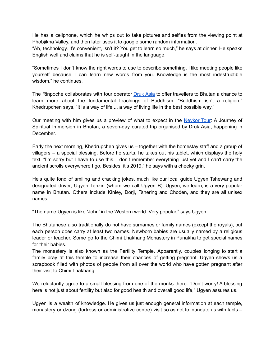He has a cellphone, which he whips out to take pictures and selfies from the viewing point at Phobjikha Valley, and then later uses it to google some random information.

"Ah, technology. It's convenient, isn't it? You get to learn so much," he says at dinner. He speaks English well and claims that he is self-taught in the language.

"Sometimes I don't know the right words to use to describe something. I like meeting people like yourself because I can learn new words from you. Knowledge is the most indestructible wisdom," he continues.

The Rinpoche collaborates with tour operator **[Druk](https://drukasia.com/) Asia** to offer travellers to Bhutan a chance to learn more about the fundamental teachings of Buddhism. "Buddhism isn't a religion," Khedrupchen says, "it is a way of life ... a way of living life in the best possible way."

Our meeting with him gives us a preview of what to expect in the [Neykor](https://neykor.com/) Tour: A Journey of Spiritual Immersion in Bhutan, a seven-day curated trip organised by Druk Asia, happening in December.

Early the next morning, Khedrupchen gives us – together with the homestay staff and a group of villagers – a special blessing. Before he starts, he takes out his tablet, which displays the holy text. "I'm sorry but I have to use this. I don't remember everything just yet and I can't carry the ancient scrolls everywhere I go. Besides, it's 2019," he says with a cheeky grin.

He's quite fond of smiling and cracking jokes, much like our local guide Ugyen Tshewang and designated driver, Ugyen Tenzin (whom we call Ugyen B). Ugyen, we learn, is a very popular name in Bhutan. Others include Kinley, Dorji, Tshering and Choden, and they are all unisex names.

"The name Ugyen is like 'John' in the Western world. Very popular," says Ugyen.

The Bhutanese also traditionally do not have surnames or family names (except the royals), but each person does carry at least two names. Newborn babies are usually named by a religious leader or teacher. Some go to the Chimi Lhakhang Monastery in Punakha to get special names for their babies.

The monastery is also known as the Fertility Temple. Apparently, couples longing to start a family pray at this temple to increase their chances of getting pregnant. Ugyen shows us a scrapbook filled with photos of people from all over the world who have gotten pregnant after their visit to Chimi Lhakhang.

We reluctantly agree to a small blessing from one of the monks there. "Don't worry! A blessing here is not just about fertility but also for good health and overall good life," Ugyen assures us.

Ugyen is a wealth of knowledge. He gives us just enough general information at each temple, monastery or dzong (fortress or administrative centre) visit so as not to inundate us with facts –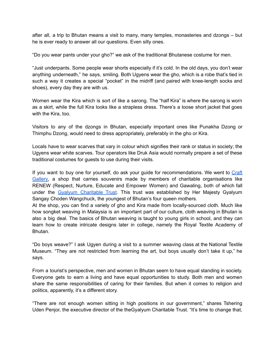after all, a trip to Bhutan means a visit to many, many temples, monasteries and dzongs – but he is ever ready to answer all our questions. Even silly ones.

"Do you wear pants under your gho?" we ask of the traditional Bhutanese costume for men.

"Just underpants. Some people wear shorts especially if it's cold. In the old days, you don't wear anything underneath," he says, smiling. Both Ugyens wear the gho, which is a robe that's tied in such a way it creates a special "pocket" in the midriff (and paired with knee-length socks and shoes), every day they are with us.

Women wear the Kira which is sort of like a sarong. The "half Kira" is where the sarong is worn as a skirt, while the full Kira looks like a strapless dress. There's a loose short jacket that goes with the Kira, too.

Visitors to any of the dzongs in Bhutan, especially important ones like Punakha Dzong or Thimphu Dzong, would need to dress appropriately, preferably in the gho or Kira.

Locals have to wear scarves that vary in colour which signifies their rank or status in society; the Ugyens wear white scarves. Tour operators like Druk Asia would normally prepare a set of these traditional costumes for guests to use during their visits.

If you want to buy one for yourself, do ask your guide for recommendations. We went to [Craft](https://www.bhutancrafts.com/) [Gallery,](https://www.bhutancrafts.com/) a shop that carries souvenirs made by members of charitable organisations like RENEW (Respect, Nurture, Educate and Empower Women) and Gawaling, both of which fall under the Gyalyum [Charitable](https://gyalyum.org/) Trust. This trust was established by Her Majesty Gyalyum Sangay Choden Wangchuck, the youngest of Bhutan's four queen mothers.

At the shop, you can find a variety of gho and Kira made from locally-sourced cloth. Much like how songket weaving in Malaysia is an important part of our culture, cloth weaving in Bhutan is also a big deal. The basics of Bhutan weaving is taught to young girls in school, and they can learn how to create intricate designs later in college, namely the Royal Textile Academy of Bhutan.

"Do boys weave?" I ask Ugyen during a visit to a summer weaving class at the National Textile Museum. "They are not restricted from learning the art, but boys usually don't take it up," he says.

From a tourist's perspective, men and women in Bhutan seem to have equal standing in society. Everyone gets to earn a living and have equal opportunities to study. Both men and women share the same responsibilities of caring for their families. But when it comes to religion and politics, apparently, it's a different story.

"There are not enough women sitting in high positions in our government," shares Tshering Uden Penjor, the executive director of the theGyalyum Charitable Trust. "It's time to change that,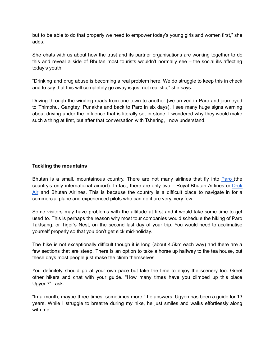but to be able to do that properly we need to empower today's young girls and women first," she adds.

She chats with us about how the trust and its partner organisations are working together to do this and reveal a side of Bhutan most tourists wouldn't normally see – the social ills affecting today's youth.

"Drinking and drug abuse is becoming a real problem here. We do struggle to keep this in check and to say that this will completely go away is just not realistic," she says.

Driving through the winding roads from one town to another (we arrived in Paro and journeyed to Thimphu, Gangtey, Punakha and back to Paro in six days), I see many huge signs warning about driving under the influence that is literally set in stone. I wondered why they would make such a thing at first, but after that conversation with Tshering, I now understand.

## **Tackling the mountains**

Bhutan is a small, mountainous country. There are not many airlines that fly into [Paro](https://www.paroairport.com/) (the country's only international airport). In fact, there are only two - Royal Bhutan Airlines or [Druk](https://www.drukair.com.sg/) [Air](https://www.drukair.com.sg/) and Bhutan Airlines. This is because the country is a difficult place to navigate in for a commercial plane and experienced pilots who can do it are very, very few.

Some visitors may have problems with the altitude at first and it would take some time to get used to. This is perhaps the reason why most tour companies would schedule the hiking of Paro Taktsang, or Tiger's Nest, on the second last day of your trip. You would need to acclimatise yourself properly so that you don't get sick mid-holiday.

The hike is not exceptionally difficult though it is long (about 4.5km each way) and there are a few sections that are steep. There is an option to take a horse up halfway to the tea house, but these days most people just make the climb themselves.

You definitely should go at your own pace but take the time to enjoy the scenery too. Greet other hikers and chat with your guide. "How many times have you climbed up this place Ugyen?" I ask.

"In a month, maybe three times, sometimes more," he answers. Ugyen has been a guide for 13 years. While I struggle to breathe during my hike, he just smiles and walks effortlessly along with me.